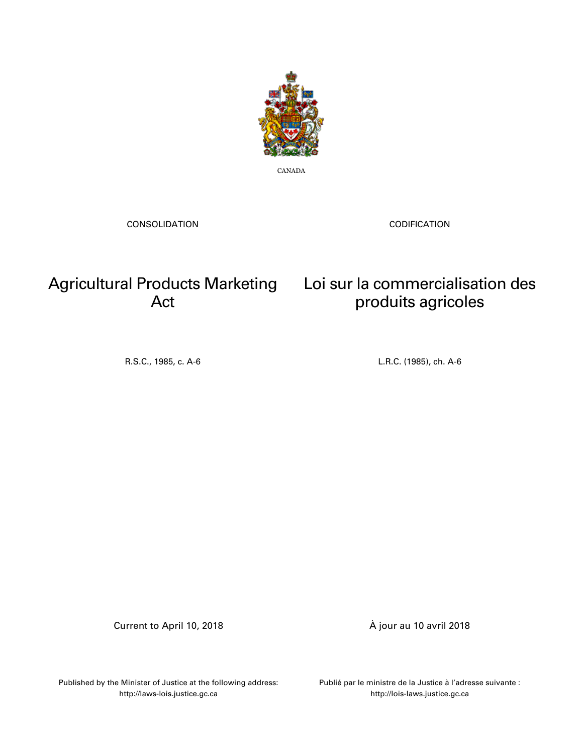

CANADA

CONSOLIDATION

CODIFICATION

## Agricultural Products Marketing Loi sur la commercialisation des Act

# produits agricoles

R.S.C., 1985, c. A-6 L.R.C. (1985), ch. A-6

Current to April 10, 2018 À jour au 10 avril 2018

Published by the Minister of Justice at the following address: http://laws-lois.justice.gc.ca

Publié par le ministre de la Justice à l'adresse suivante : http://lois-laws.justice.gc.ca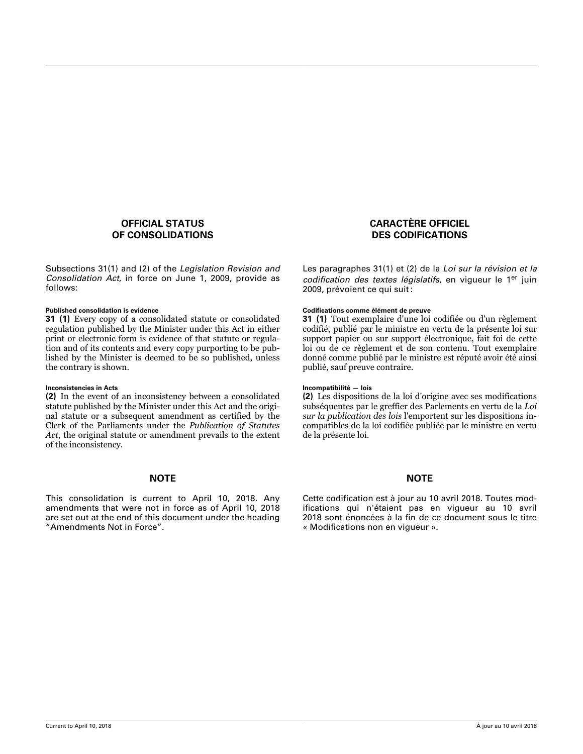### **OFFICIAL STATUS OF CONSOLIDATIONS**

Subsections 31(1) and (2) of the *Legislation Revision and Consolidation Act*, in force on June 1, 2009, provide as follows:

#### **Published consolidation is evidence Codications comme élément de preuve**

**31 (1)** Every copy of a consolidated statute or consolidated regulation published by the Minister under this Act in either print or electronic form is evidence of that statute or regulation and of its contents and every copy purporting to be published by the Minister is deemed to be so published, unless the contrary is shown.

#### **Inconsistencies in Acts Incompatibilité — lois**

**(2)** In the event of an inconsistency between a consolidated statute published by the Minister under this Act and the original statute or a subsequent amendment as certified by the Clerk of the Parliaments under the *Publication of Statutes Act*, the original statute or amendment prevails to the extent of the inconsistency.

This consolidation is current to April 10, 2018. Any amendments that were not in force as of April 10, 2018 are set out at the end of this document under the heading "Amendments Not in Force".

### **CARACTÈRE OFFICIEL DES CODIFICATIONS**

Les paragraphes 31(1) et (2) de la *Loi sur la révision et la* codification des textes législatifs, en vigueur le 1<sup>er</sup> juin 2009, prévoient ce qui suit :

**31 (1)** Tout exemplaire d'une loi codifiée ou d'un règlement codifié, publié par le ministre en vertu de la présente loi sur support papier ou sur support électronique, fait foi de cette loi ou de ce règlement et de son contenu. Tout exemplaire donné comme publié par le ministre est réputé avoir été ainsi publié, sauf preuve contraire.

**(2)** Les dispositions de la loi d'origine avec ses modifications subséquentes par le greffier des Parlements en vertu de la *Loi sur la publication des lois* l'emportent sur les dispositions incompatibles de la loi codifiée publiée par le ministre en vertu de la présente loi.

#### **NOTE NOTE**

Cette codification est à jour au 10 avril 2018. Toutes modifications qui n'étaient pas en vigueur au 10 avril 2018 sont énoncées à la fin de ce document sous le titre « Modifications non en vigueur ».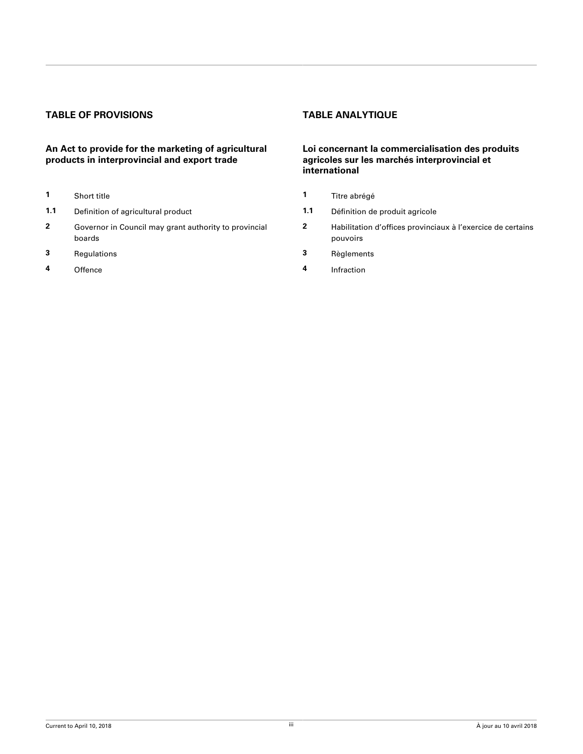### **TABLE OF PROVISIONS TABLE ANALYTIQUE**

### **An Act to provide for the marketing of agricultural products in interprovincial and export trade**

- 
- **1.1** Definition of agricultural product **1.1** Définition de produit agricole
- **2** [Governor in Council may grant authority to provincial](#page-4-0) [boards](#page-4-0)
- **3** [Regulations](#page-4-0) **3** [Règlements](#page-4-0)
- 

### **Loi concernant la commercialisation des produits agricoles sur les marchés interprovincial et international**

- **1** [Short title](#page-3-0) **1** [Titre abrégé](#page-3-0)
	-
	- **2** Habilitation d'offices provinciaux à l'exercice de certains [pouvoirs](#page-4-0)
	-
- **4** [Offence](#page-5-0) **4** [Infraction](#page-5-0)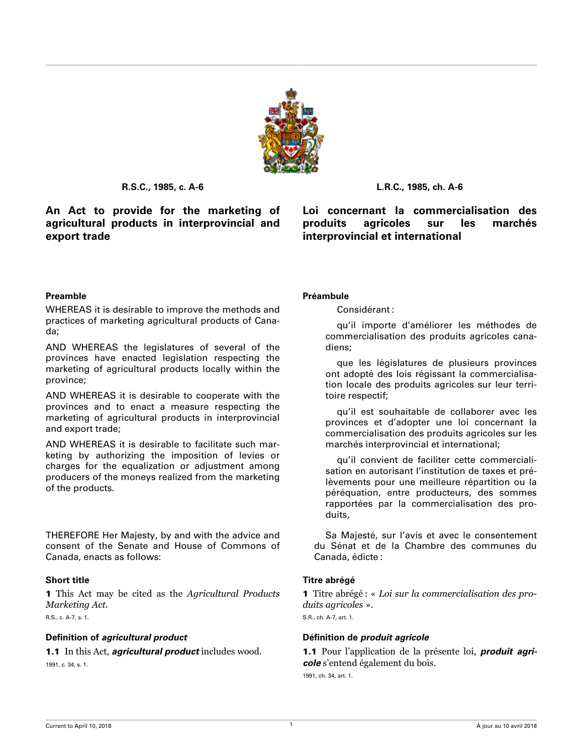

<span id="page-3-0"></span>**An Act to provide for the marketing of agricultural products in interprovincial and export trade**

### **R.S.C., 1985, c. A-6 L.R.C., 1985, ch. A-6**

**Loi concernant la commercialisation des produits agricoles sur les marchés interprovincial et international**

#### **Preamble Préambule**

WHEREAS it is desirable to improve the methods and practices of marketing agricultural products of Canada;

AND WHEREAS the legislatures of several of the provinces have enacted legislation respecting the marketing of agricultural products locally within the province;

AND WHEREAS it is desirable to cooperate with the provinces and to enact a measure respecting the marketing of agricultural products in interprovincial and export trade;

AND WHEREAS it is desirable to facilitate such marketing by authorizing the imposition of levies or charges for the equalization or adjustment among producers of the moneys realized from the marketing of the products.

THEREFORE Her Majesty, by and with the advice and consent of the Senate and House of Commons of Canada, enacts as follows:

1 This Act may be cited as the *Agricultural Products Marketing Act*. R.S., c. A-7, s. 1.

#### **Definition of** *agricultural product* **Définition de** *produit agricole*

1.1 In this Act, *agricultural product* includes wood. 1991, c. 34, s. 1.

Considérant :

qu'il importe d'améliorer les méthodes de commercialisation des produits agricoles canadiens;

que les législatures de plusieurs provinces ont adopté des lois régissant la commercialisation locale des produits agricoles sur leur territoire respectif;

qu'il est souhaitable de collaborer avec les provinces et d'adopter une loi concernant la commercialisation des produits agricoles sur les marchés interprovincial et international;

qu'il convient de faciliter cette commercialisation en autorisant l'institution de taxes et prélèvements pour une meilleure répartition ou la péréquation, entre producteurs, des sommes rapportées par la commercialisation des produits,

Sa Majesté, sur l'avis et avec le consentement du Sénat et de la Chambre des communes du Canada, édicte :

### **Short title Titre abrégé**

1 Titre abrégé : « *Loi sur la commercialisation des produits agricoles* ». S.R., ch. A-7, art. 1.

1.1 Pour l'application de la présente loi, *produit agricole* s'entend également du bois.

1991, ch. 34, art. 1.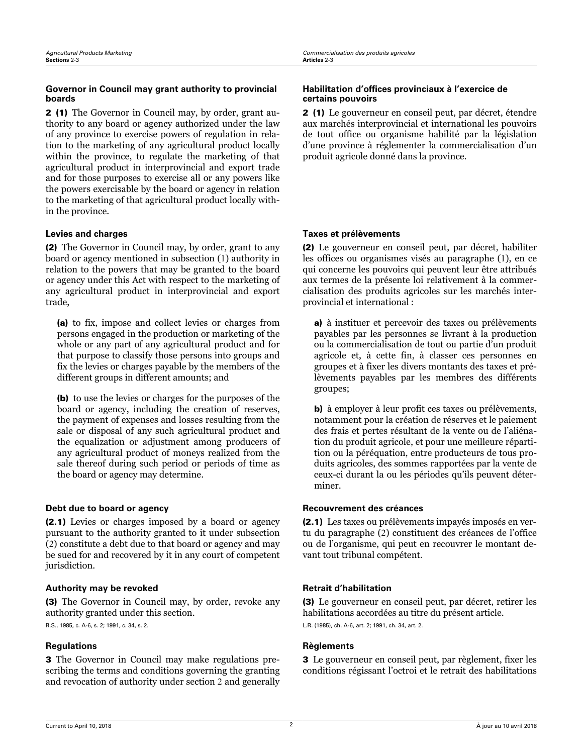### <span id="page-4-0"></span>**Governor in Council may grant authority to provincial boards**

2 (1) The Governor in Council may, by order, grant authority to any board or agency authorized under the law of any province to exercise powers of regulation in relation to the marketing of any agricultural product locally within the province, to regulate the marketing of that agricultural product in interprovincial and export trade and for those purposes to exercise all or any powers like the powers exercisable by the board or agency in relation to the marketing of that agricultural product locally within the province.

(2) The Governor in Council may, by order, grant to any board or agency mentioned in subsection (1) authority in relation to the powers that may be granted to the board or agency under this Act with respect to the marketing of any agricultural product in interprovincial and export trade,

(a) to fix, impose and collect levies or charges from persons engaged in the production or marketing of the whole or any part of any agricultural product and for that purpose to classify those persons into groups and fix the levies or charges payable by the members of the different groups in different amounts; and

(b) to use the levies or charges for the purposes of the board or agency, including the creation of reserves, the payment of expenses and losses resulting from the sale or disposal of any such agricultural product and the equalization or adjustment among producers of any agricultural product of moneys realized from the sale thereof during such period or periods of time as the board or agency may determine.

### **Debt due to board or agency <b>Recouvrement des créances**

(2.1) Levies or charges imposed by a board or agency pursuant to the authority granted to it under subsection (2) constitute a debt due to that board or agency and may be sued for and recovered by it in any court of competent jurisdiction.

### **Authority may be revoked Retrait d'habilitation**

(3) The Governor in Council may, by order, revoke any authority granted under this section.

R.S., 1985, c. A-6, s. 2; 1991, c. 34, s. 2.

### **Regulations Règlements**

3 The Governor in Council may make regulations prescribing the terms and conditions governing the granting and revocation of authority under section 2 and generally

### Habilitation d'offices provinciaux à l'exercice de **certains pouvoirs**

2 (1) Le gouverneur en conseil peut, par décret, étendre aux marchés interprovincial et international les pouvoirs de tout office ou organisme habilité par la législation d'une province à réglementer la commercialisation d'un produit agricole donné dans la province.

### **Levies and charges Taxes et prélèvements**

(2) Le gouverneur en conseil peut, par décret, habiliter les offices ou organismes visés au paragraphe (1), en ce qui concerne les pouvoirs qui peuvent leur être attribués aux termes de la présente loi relativement à la commercialisation des produits agricoles sur les marchés interprovincial et international :

a) à instituer et percevoir des taxes ou prélèvements payables par les personnes se livrant à la production ou la commercialisation de tout ou partie d'un produit agricole et, à cette fin, à classer ces personnes en groupes et à fixer les divers montants des taxes et prélèvements payables par les membres des différents groupes;

b) à employer à leur profit ces taxes ou prélèvements, notamment pour la création de réserves et le paiement des frais et pertes résultant de la vente ou de l'aliénation du produit agricole, et pour une meilleure répartition ou la péréquation, entre producteurs de tous produits agricoles, des sommes rapportées par la vente de ceux-ci durant la ou les périodes qu'ils peuvent déterminer.

(2.1) Les taxes ou prélèvements impayés imposés en vertu du paragraphe (2) constituent des créances de l'office ou de l'organisme, qui peut en recouvrer le montant devant tout tribunal compétent.

(3) Le gouverneur en conseil peut, par décret, retirer les habilitations accordées au titre du présent article. L.R. (1985), ch. A-6, art. 2; 1991, ch. 34, art. 2.

3 Le gouverneur en conseil peut, par règlement, fixer les conditions régissant l'octroi et le retrait des habilitations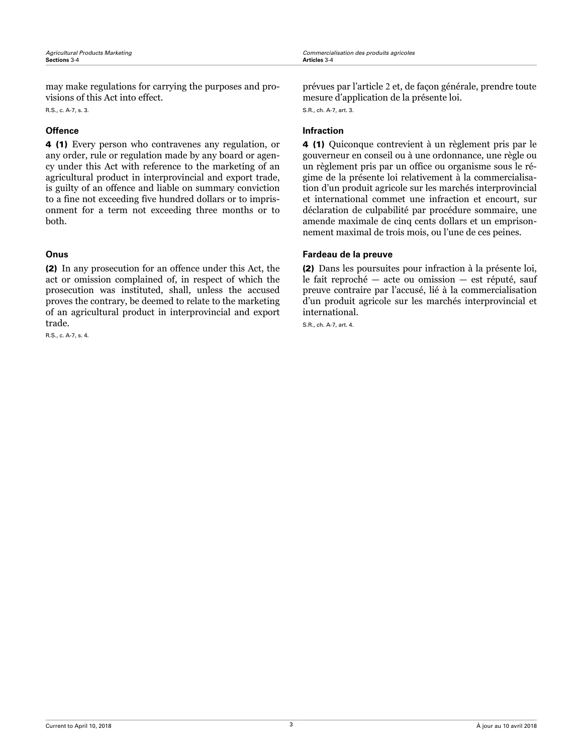<span id="page-5-0"></span>*Agricultural Products Marketing Commercialisation des produits agricoles*

may make regulations for carrying the purposes and provisions of this Act into effect.

R.S., c. A-7, s. 3.

4 (1) Every person who contravenes any regulation, or any order, rule or regulation made by any board or agency under this Act with reference to the marketing of an agricultural product in interprovincial and export trade, is guilty of an offence and liable on summary conviction to a fine not exceeding five hundred dollars or to imprisonment for a term not exceeding three months or to both.

(2) In any prosecution for an offence under this Act, the act or omission complained of, in respect of which the prosecution was instituted, shall, unless the accused proves the contrary, be deemed to relate to the marketing of an agricultural product in interprovincial and export trade.

R.S., c. A-7, s. 4.

prévues par l'article 2 et, de façon générale, prendre toute mesure d'application de la présente loi. S.R., ch. A-7, art. 3.

### **Offence Infraction**

4 (1) Quiconque contrevient à un règlement pris par le gouverneur en conseil ou à une ordonnance, une règle ou un règlement pris par un office ou organisme sous le régime de la présente loi relativement à la commercialisation d'un produit agricole sur les marchés interprovincial et international commet une infraction et encourt, sur déclaration de culpabilité par procédure sommaire, une amende maximale de cinq cents dollars et un emprisonnement maximal de trois mois, ou l'une de ces peines.

### **Onus Fardeau de la preuve**

(2) Dans les poursuites pour infraction à la présente loi, le fait reproché — acte ou omission — est réputé, sauf preuve contraire par l'accusé, lié à la commercialisation d'un produit agricole sur les marchés interprovincial et international.

S.R., ch. A-7, art. 4.